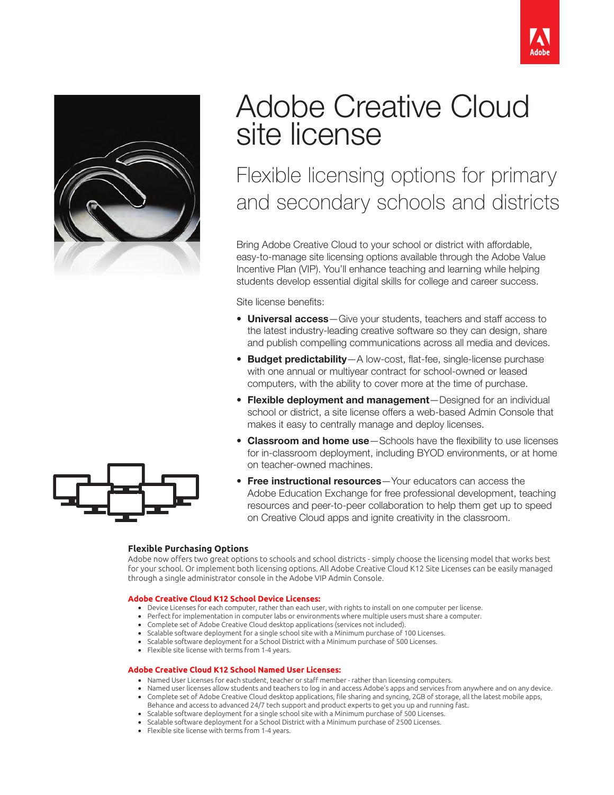



# Adobe Creative Cloud site license

Flexible licensing options for primary and secondary schools and districts

Bring Adobe Creative Cloud to your school or district with affordable, easy-to-manage site licensing options available through the Adobe Value Incentive Plan (VIP). You'll enhance teaching and learning while helping students develop essential digital skills for college and career success.

Site license benefits:

- Universal access-Give your students, teachers and staff access to the latest industry-leading creative software so they can design, share and publish compelling communications across all media and devices.
- Budget predictability-A low-cost, flat-fee, single-license purchase with one annual or multiyear contract for school-owned or leased computers, with the ability to cover more at the time of purchase.
- Flexible deployment and management—Designed for an individual school or district, a site license offers a web-based Admin Console that makes it easy to centrally manage and deploy licenses.
- Classroom and home use-Schools have the flexibility to use licenses for in-classroom deployment, including BYOD environments, or at home on teacher-owned machines.
- Free instructional resources Your educators can access the Adobe Education Exchange for free professional development, teaching resources and peer-to-peer collaboration to help them get up to speed on Creative Cloud apps and ignite creativity in the classroom.

### **Flexible Purchasing Options**

Adobe now offers two great options to schools and school districts - simply choose the licensing model that works best for your school. Or implement both licensing options. All Adobe Creative Cloud K12 Site Licenses can be easily managed through a single administrator console in the Adobe VIP Admin Console.

#### **Adobe Creative Cloud K12 School Device Licenses:**

- Device Licenses for each computer, rather than each user, with rights to install on one computer per license.
- Perfect for implementation in computer labs or environments where multiple users must share a computer.
- Complete set of Adobe Creative Cloud desktop applications (services not included).
- Scalable software deployment for a single school site with a Minimum purchase of 100 Licenses. • Scalable software deployment for a School District with a Minimum purchase of 500 Licenses.
- 
- Flexible site license with terms from 1-4 years.

#### **Adobe Creative Cloud K12 School Named User Licenses:**

- Named User Licenses for each student, teacher or staff member rather than licensing computers.
- Named user licenses allow students and teachers to log in and access Adobe's apps and services from anywhere and on any device. • Complete set of Adobe Creative Cloud desktop applications, file sharing and syncing, 2GB of storage, all the latest mobile apps,
- Behance and access to advanced 24/7 tech support and product experts to get you up and running fast.
- Scalable software deployment for a single school site with a Minimum purchase of 500 Licenses. • Scalable software deployment for a School District with a Minimum purchase of 2500 Licenses.
- Flexible site license with terms from 1-4 years.